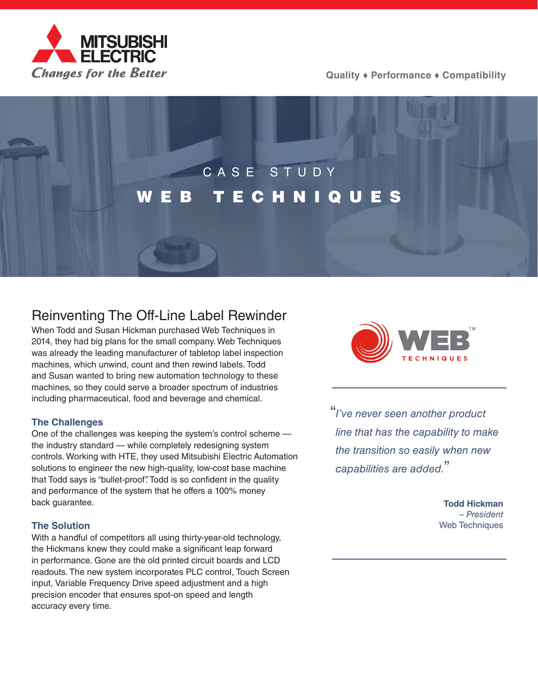

**Quality ♦ Performance ♦ Compatibility**

# CASE STUDY [WEB TECHNIQUES](https://us.mitsubishielectric.com/fa/en)

# Reinventing The Off-Line Label Rewinder

When Todd and Susan Hickman purchased Web Techniques in 2014, they had big plans for the small company. Web Techniques was already the leading manufacturer of tabletop label inspection machines, which unwind, count and then rewind labels. Todd and Susan wanted to bring new automation technology to these machines, so they could serve a broader spectrum of industries including pharmaceutical, food and beverage and chemical.

# **The Challenges**

One of the challenges was keeping the system's control scheme the industry standard — while completely redesigning system controls. Working with HTE, they used Mitsubishi Electric Automation solutions to engineer the new high-quality, low-cost base machine that Todd says is "bullet-proof". Todd is so confident in the quality and performance of the system that he offers a 100% money back guarantee.

# **The Solution**

With a handful of competitors all using thirty-year-old technology, the Hickmans knew they could make a significant leap forward in performance. Gone are the old printed circuit boards and LCD readouts. The new system incorporates PLC control, Touch Screen input, Variable Frequency Drive speed adjustment and a high precision encoder that ensures spot-on speed and length accuracy every time.



"*I've never seen another product line that has the capability to make the transition so easily when new capabilities are added.*"

> **Todd Hickman** *– President* Web Techniques